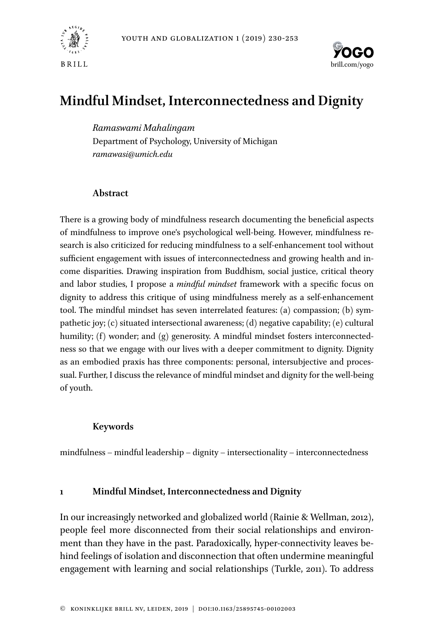



# **Mindful Mindset, Interconnectedness and Dignity**

*Ramaswami Mahalingam*  Department of Psychology, University of Michigan *ramawasi@umich.edu*

# **Abstract**

There is a growing body of mindfulness research documenting the beneficial aspects of mindfulness to improve one's psychological well-being. However, mindfulness research is also criticized for reducing mindfulness to a self-enhancement tool without sufficient engagement with issues of interconnectedness and growing health and income disparities. Drawing inspiration from Buddhism, social justice, critical theory and labor studies, I propose a *mindful mindset* framework with a specific focus on dignity to address this critique of using mindfulness merely as a self-enhancement tool. The mindful mindset has seven interrelated features: (a) compassion; (b) sympathetic joy; (c) situated intersectional awareness; (d) negative capability; (e) cultural humility; (f) wonder; and (g) generosity. A mindful mindset fosters interconnectedness so that we engage with our lives with a deeper commitment to dignity. Dignity as an embodied praxis has three components: personal, intersubjective and processual. Further, I discuss the relevance of mindful mindset and dignity for the well-being of youth.

# **Keywords**

mindfulness – mindful leadership – dignity – intersectionality – interconnectedness

# **1 Mindful Mindset, Interconnectedness and Dignity**

In our increasingly networked and globalized world [\(Rainie & Wellman, 2012\)](#page-22-0), people feel more disconnected from their social relationships and environment than they have in the past. Paradoxically, hyper-connectivity leaves behind feelings of isolation and disconnection that often undermine meaningful engagement with learning and social relationships ([Turkle, 2011](#page-22-1)). To address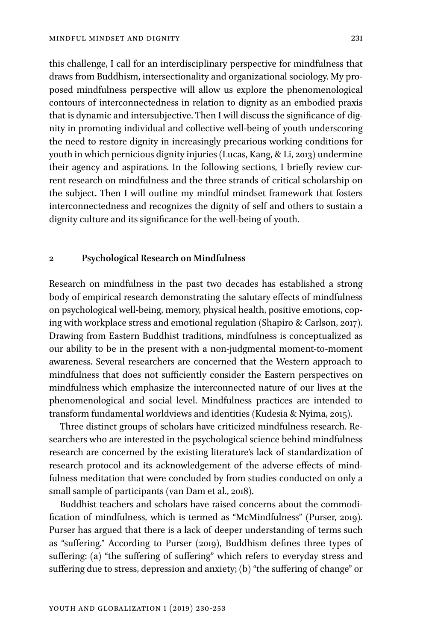this challenge, I call for an interdisciplinary perspective for mindfulness that draws from Buddhism, intersectionality and organizational sociology. My proposed mindfulness perspective will allow us explore the phenomenological contours of interconnectedness in relation to dignity as an embodied praxis that is dynamic and intersubjective. Then I will discuss the significance of dignity in promoting individual and collective well-being of youth underscoring the need to restore dignity in increasingly precarious working conditions for youth in which pernicious dignity injuries (Lucas, Kang, & Li, 2013) undermine their agency and aspirations. In the following sections, I briefly review current research on mindfulness and the three strands of critical scholarship on the subject. Then I will outline my mindful mindset framework that fosters interconnectedness and recognizes the dignity of self and others to sustain a

#### **2 Psychological Research on Mindfulness**

dignity culture and its significance for the well-being of youth.

Research on mindfulness in the past two decades has established a strong body of empirical research demonstrating the salutary effects of mindfulness on psychological well-being, memory, physical health, positive emotions, coping with workplace stress and emotional regulation [\(Shapiro & Carlson, 2017](#page-22-2)). Drawing from Eastern Buddhist traditions, mindfulness is conceptualized as our ability to be in the present with a non-judgmental moment-to-moment awareness. Several researchers are concerned that the Western approach to mindfulness that does not sufficiently consider the Eastern perspectives on mindfulness which emphasize the interconnected nature of our lives at the phenomenological and social level. Mindfulness practices are intended to transform fundamental worldviews and identities [\(Kudesia & Nyima, 2015\)](#page-20-0).

Three distinct groups of scholars have criticized mindfulness research. Researchers who are interested in the psychological science behind mindfulness research are concerned by the existing literature's lack of standardization of research protocol and its acknowledgement of the adverse effects of mindfulness meditation that were concluded by from studies conducted on only a small sample of participants (van [Dam et al., 2018](#page-22-3)).

Buddhist teachers and scholars have raised concerns about the commodification of mindfulness, which is termed as "McMindfulness" [\(Purser, 2019](#page-22-4)). Purser has argued that there is a lack of deeper understanding of terms such as "suffering." According to [Purser \(2019\)](#page-22-4), Buddhism defines three types of suffering: (a) "the suffering of suffering" which refers to everyday stress and suffering due to stress, depression and anxiety; (b) "the suffering of change" or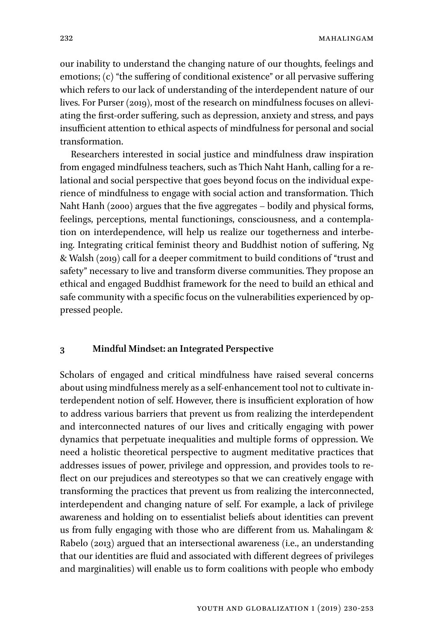our inability to understand the changing nature of our thoughts, feelings and emotions; (c) "the suffering of conditional existence" or all pervasive suffering which refers to our lack of understanding of the interdependent nature of our lives. For [Purser \(2019\)](#page-22-4), most of the research on mindfulness focuses on alleviating the first-order suffering, such as depression, anxiety and stress, and pays insufficient attention to ethical aspects of mindfulness for personal and social transformation.

Researchers interested in social justice and mindfulness draw inspiration from engaged mindfulness teachers, such as Thich Naht Hanh, calling for a relational and social perspective that goes beyond focus on the individual experience of mindfulness to engage with social action and transformation. Thich Naht [Hanh \(2000\)](#page-20-1) argues that the five aggregates – bodily and physical forms, feelings, perceptions, mental functionings, consciousness, and a contemplation on interdependence, will help us realize our togetherness and interbeing. Integrating critical feminist theory and Buddhist notion of suffering, [Ng](#page-21-0) [& Walsh \(2019\)](#page-21-0) call for a deeper commitment to build conditions of "trust and safety" necessary to live and transform diverse communities. They propose an ethical and engaged Buddhist framework for the need to build an ethical and safe community with a specific focus on the vulnerabilities experienced by oppressed people.

#### **3 Mindful Mindset: an Integrated Perspective**

Scholars of engaged and critical mindfulness have raised several concerns about using mindfulness merely as a self-enhancement tool not to cultivate interdependent notion of self. However, there is insufficient exploration of how to address various barriers that prevent us from realizing the interdependent and interconnected natures of our lives and critically engaging with power dynamics that perpetuate inequalities and multiple forms of oppression. We need a holistic theoretical perspective to augment meditative practices that addresses issues of power, privilege and oppression, and provides tools to reflect on our prejudices and stereotypes so that we can creatively engage with transforming the practices that prevent us from realizing the interconnected, interdependent and changing nature of self. For example, a lack of privilege awareness and holding on to essentialist beliefs about identities can prevent us from fully engaging with those who are different from us. [Mahalingam &](#page-21-1) [Rabelo \(2013\)](#page-21-1) argued that an intersectional awareness (i.e., an understanding that our identities are fluid and associated with different degrees of privileges and marginalities) will enable us to form coalitions with people who embody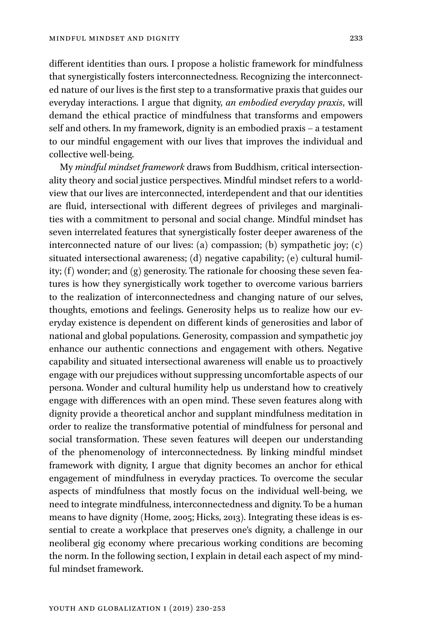different identities than ours. I propose a holistic framework for mindfulness that synergistically fosters interconnectedness. Recognizing the interconnected nature of our lives is the first step to a transformative praxis that guides our everyday interactions. I argue that dignity, *an embodied everyday praxis*, will demand the ethical practice of mindfulness that transforms and empowers self and others. In my framework, dignity is an embodied praxis – a testament to our mindful engagement with our lives that improves the individual and collective well-being.

My *mindful mindset framework* draws from Buddhism, critical intersectionality theory and social justice perspectives. Mindful mindset refers to a worldview that our lives are interconnected, interdependent and that our identities are fluid, intersectional with different degrees of privileges and marginalities with a commitment to personal and social change. Mindful mindset has seven interrelated features that synergistically foster deeper awareness of the interconnected nature of our lives: (a) compassion; (b) sympathetic joy; (c) situated intersectional awareness; (d) negative capability; (e) cultural humility; (f) wonder; and (g) generosity. The rationale for choosing these seven features is how they synergistically work together to overcome various barriers to the realization of interconnectedness and changing nature of our selves, thoughts, emotions and feelings. Generosity helps us to realize how our everyday existence is dependent on different kinds of generosities and labor of national and global populations. Generosity, compassion and sympathetic joy enhance our authentic connections and engagement with others. Negative capability and situated intersectional awareness will enable us to proactively engage with our prejudices without suppressing uncomfortable aspects of our persona. Wonder and cultural humility help us understand how to creatively engage with differences with an open mind. These seven features along with dignity provide a theoretical anchor and supplant mindfulness meditation in order to realize the transformative potential of mindfulness for personal and social transformation. These seven features will deepen our understanding of the phenomenology of interconnectedness. By linking mindful mindset framework with dignity, I argue that dignity becomes an anchor for ethical engagement of mindfulness in everyday practices. To overcome the secular aspects of mindfulness that mostly focus on the individual well-being, we need to integrate mindfulness, interconnectedness and dignity. To be a human means to have dignity ([Home, 2005;](#page-20-2) Hicks, 2013). Integrating these ideas is essential to create a workplace that preserves one's dignity, a challenge in our neoliberal gig economy where precarious working conditions are becoming the norm. In the following section, I explain in detail each aspect of my mindful mindset framework.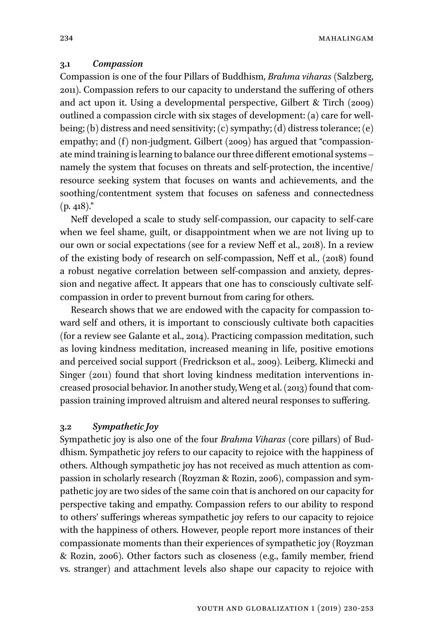#### **3.1** *Compassion*

Compassion is one of the four Pillars of Buddhism, *Brahma viharas* ([Salzberg,](#page-22-5) [2011\)](#page-22-5). Compassion refers to our capacity to understand the suffering of others and act upon it. Using a developmental perspective, [Gilbert & Tirch \(2009\)](#page-20-3) outlined a compassion circle with six stages of development: (a) care for wellbeing; (b) distress and need sensitivity; (c) sympathy; (d) distress tolerance; (e) empathy; and (f) non-judgment. Gilbert (2009) has argued that "compassionate mind training is learning to balance our three different emotional systems – namely the system that focuses on threats and self-protection, the incentive/ resource seeking system that focuses on wants and achievements, and the soothing/contentment system that focuses on safeness and connectedness  $(p. 418).$ "

Neff developed a scale to study self-compassion, our capacity to self-care when we feel shame, guilt, or disappointment when we are not living up to our own or social expectations (see for a review [Neff et al., 2018\)](#page-21-2). In a review of the existing body of research on self-compassion, Neff et al., (2018) found a robust negative correlation between self-compassion and anxiety, depression and negative affect. It appears that one has to consciously cultivate selfcompassion in order to prevent burnout from caring for others.

Research shows that we are endowed with the capacity for compassion toward self and others, it is important to consciously cultivate both capacities (for a review see [Galante et al., 2014\)](#page-19-0). Practicing compassion meditation, such as loving kindness meditation, increased meaning in life, positive emotions and perceived social support ([Fredrickson et al., 2009](#page-19-1)). Leiberg, Klimecki and Singer (2011) found that short loving kindness meditation interventions increased prosocial behavior. In another study, [Weng et al. \(2013\)](#page-23-0) found that compassion training improved altruism and altered neural responses to suffering.

# **3.2** *Sympathetic Joy*

Sympathetic joy is also one of the four *Brahma Viharas* (core pillars) of Buddhism. Sympathetic joy refers to our capacity to rejoice with the happiness of others. Although sympathetic joy has not received as much attention as compassion in scholarly research (Royzman & Rozin, 2006), compassion and sympathetic joy are two sides of the same coin that is anchored on our capacity for perspective taking and empathy. Compassion refers to our ability to respond to others' sufferings whereas sympathetic joy refers to our capacity to rejoice with the happiness of others. However, people report more instances of their compassionate moments than their experiences of sympathetic joy (Royzman & Rozin, 2006). Other factors such as closeness (e.g., family member, friend vs. stranger) and attachment levels also shape our capacity to rejoice with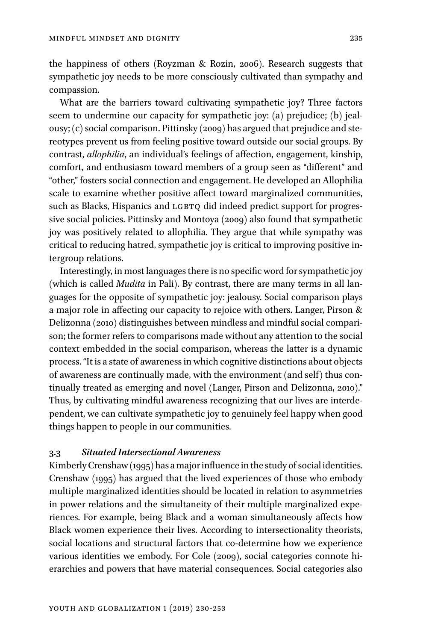the happiness of others (Royzman & Rozin, 2006). Research suggests that sympathetic joy needs to be more consciously cultivated than sympathy and compassion.

What are the barriers toward cultivating sympathetic joy? Three factors seem to undermine our capacity for sympathetic joy: (a) prejudice; (b) jealousy; (c) social comparison. [Pittinsky \(2009\)](#page-21-3) has argued that prejudice and stereotypes prevent us from feeling positive toward outside our social groups. By contrast, *allophilia*, an individual's feelings of affection, engagement, kinship, comfort, and enthusiasm toward members of a group seen as "different" and "other," fosters social connection and engagement. He developed an Allophilia scale to examine whether positive affect toward marginalized communities, such as Blacks, Hispanics and LGBTQ did indeed predict support for progressive social policies. Pittinsky and Montoya (2009) also found that sympathetic joy was positively related to allophilia. They argue that while sympathy was critical to reducing hatred, sympathetic joy is critical to improving positive intergroup relations.

Interestingly, in most languages there is no specific word for sympathetic joy (which is called *Muditā* in Pali). By contrast, there are many terms in all languages for the opposite of sympathetic joy: jealousy. Social comparison plays a major role in affecting our capacity to rejoice with others. Langer, Pirson & Delizonna (2010) distinguishes between mindless and mindful social comparison; the former refers to comparisons made without any attention to the social context embedded in the social comparison, whereas the latter is a dynamic process. "It is a state of awareness in which cognitive distinctions about objects of awareness are continually made, with the environment (and self) thus continually treated as emerging and novel (Langer, Pirson and Delizonna, 2010)." Thus, by cultivating mindful awareness recognizing that our lives are interdependent, we can cultivate sympathetic joy to genuinely feel happy when good things happen to people in our communities.

# **3.3** *Situated Intersectional Awareness*

Kimberly [Crenshaw \(1995\)](#page-19-2) has a major influence in the study of social identities. [Crenshaw \(1995\)](#page-19-2) has argued that the lived experiences of those who embody multiple marginalized identities should be located in relation to asymmetries in power relations and the simultaneity of their multiple marginalized experiences. For example, being Black and a woman simultaneously affects how Black women experience their lives. According to intersectionality theorists, social locations and structural factors that co-determine how we experience various identities we embody. For [Cole \(2009\),](#page-19-3) social categories connote hierarchies and powers that have material consequences. Social categories also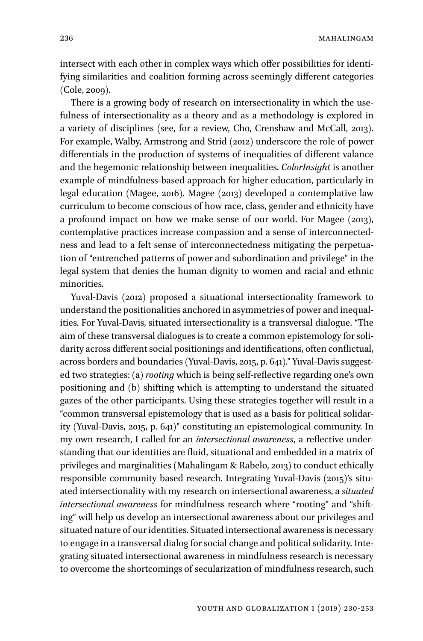intersect with each other in complex ways which offer possibilities for identifying similarities and coalition forming across seemingly different categories ([Cole, 2009](#page-19-3)).

There is a growing body of research on intersectionality in which the usefulness of intersectionality as a theory and as a methodology is explored in a variety of disciplines (see, for a review, Cho, Crenshaw and McCall, 2013). For example, Walby, Armstrong and Strid (2012) underscore the role of power differentials in the production of systems of inequalities of different valance and the hegemonic relationship between inequalities. *ColorInsight* is another example of mindfulness-based approach for higher education, particularly in legal education ([Magee, 2016](#page-21-4)). [Magee \(2013\)](#page-21-5) developed a contemplative law curriculum to become conscious of how race, class, gender and ethnicity have a profound impact on how we make sense of our world. For [Magee \(2013\)](#page-21-5), contemplative practices increase compassion and a sense of interconnectedness and lead to a felt sense of interconnectedness mitigating the perpetuation of "entrenched patterns of power and subordination and privilege" in the legal system that denies the human dignity to women and racial and ethnic minorities.

Yuval-Davis (2012) proposed a situational intersectionality framework to understand the positionalities anchored in asymmetries of power and inequalities. For Yuval-Davis, situated intersectionality is a transversal dialogue. "The aim of these transversal dialogues is to create a common epistemology for solidarity across different social positionings and identifications, often conflictual, across borders and boundaries ([Yuval-Davis, 2015](#page-23-1), p. 641)." Yuval-Davis suggested two strategies: (a) *rooting* which is being self-reflective regarding one's own positioning and (b) shifting which is attempting to understand the situated gazes of the other participants. Using these strategies together will result in a "common transversal epistemology that is used as a basis for political solidarity ([Yuval-Davis, 2015](#page-23-1), p. 641)" constituting an epistemological community. In my own research, I called for an *intersectional awareness*, a reflective understanding that our identities are fluid, situational and embedded in a matrix of privileges and marginalities ([Mahalingam & Rabelo, 2013](#page-21-1)) to conduct ethically responsible community based research. Integrating [Yuval-Davis \(2015\)](#page-23-1)'s situated intersectionality with my research on intersectional awareness, a *situated intersectional awareness* for mindfulness research where "rooting" and "shifting" will help us develop an intersectional awareness about our privileges and situated nature of our identities. Situated intersectional awareness is necessary to engage in a transversal dialog for social change and political solidarity. Integrating situated intersectional awareness in mindfulness research is necessary to overcome the shortcomings of secularization of mindfulness research, such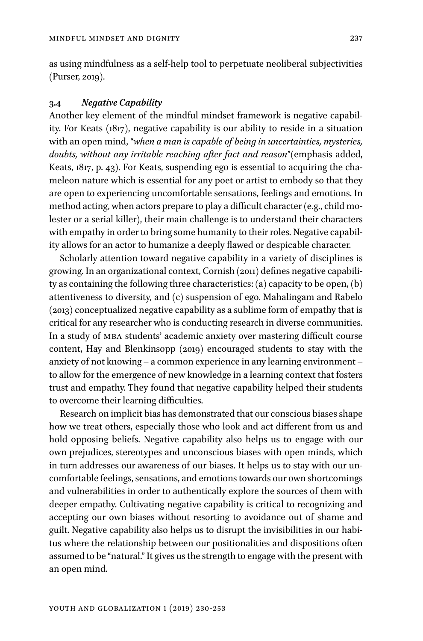as using mindfulness as a self-help tool to perpetuate neoliberal subjectivities ([Purser, 2019](#page-22-4)).

## **3.4** *Negative Capability*

Another key element of the mindful mindset framework is negative capability. For Keats (1817), negative capability is our ability to reside in a situation with an open mind, "*when a man is capable of being in uncertainties, mysteries, doubts, without any irritable reaching after fact and reason*"(emphasis added, Keats, 1817, p. 43). For Keats, suspending ego is essential to acquiring the chameleon nature which is essential for any poet or artist to embody so that they are open to experiencing uncomfortable sensations, feelings and emotions. In method acting, when actors prepare to play a difficult character (e.g., child molester or a serial killer), their main challenge is to understand their characters with empathy in order to bring some humanity to their roles. Negative capability allows for an actor to humanize a deeply flawed or despicable character.

Scholarly attention toward negative capability in a variety of disciplines is growing. In an organizational context, [Cornish \(2011\)](#page-19-4) defines negative capability as containing the following three characteristics: (a) capacity to be open, (b) attentiveness to diversity, and (c) suspension of ego. Mahalingam and Rabelo (2013) conceptualized negative capability as a sublime form of empathy that is critical for any researcher who is conducting research in diverse communities. In a study of mba students' academic anxiety over mastering difficult course content, [Hay and Blenkinsopp \(2019\)](#page-20-4) encouraged students to stay with the anxiety of not knowing – a common experience in any learning environment – to allow for the emergence of new knowledge in a learning context that fosters trust and empathy. They found that negative capability helped their students to overcome their learning difficulties.

Research on implicit bias has demonstrated that our conscious biases shape how we treat others, especially those who look and act different from us and hold opposing beliefs. Negative capability also helps us to engage with our own prejudices, stereotypes and unconscious biases with open minds, which in turn addresses our awareness of our biases. It helps us to stay with our uncomfortable feelings, sensations, and emotions towards our own shortcomings and vulnerabilities in order to authentically explore the sources of them with deeper empathy. Cultivating negative capability is critical to recognizing and accepting our own biases without resorting to avoidance out of shame and guilt. Negative capability also helps us to disrupt the invisibilities in our habitus where the relationship between our positionalities and dispositions often assumed to be "natural." It gives us the strength to engage with the present with an open mind.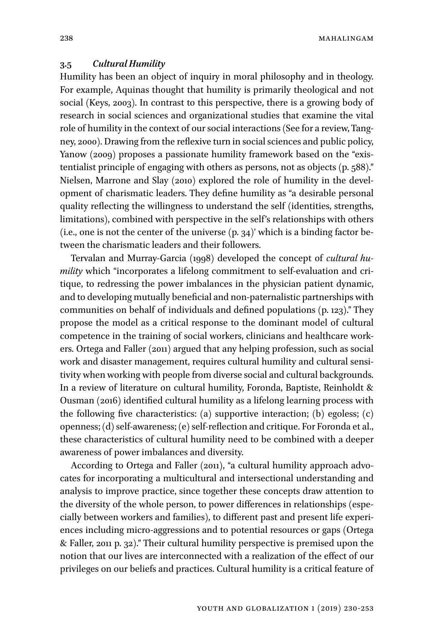#### **3.5** *Cultural Humility*

Humility has been an object of inquiry in moral philosophy and in theology. For example, Aquinas thought that humility is primarily theological and not social ([Keys, 2003\)](#page-20-5). In contrast to this perspective, there is a growing body of research in social sciences and organizational studies that examine the vital role of humility in the context of our social interactions (See for a review, [Tang](#page-22-6)[ney, 2000\)](#page-22-6). Drawing from the reflexive turn in social sciences and public policy, [Yanow \(2009\)](#page-23-2) proposes a passionate humility framework based on the "existentialist principle of engaging with others as persons, not as objects (p. 588)." Nielsen, Marrone and Slay (2010) explored the role of humility in the development of charismatic leaders. They define humility as "a desirable personal quality reflecting the willingness to understand the self (identities, strengths, limitations), combined with perspective in the self's relationships with others (i.e., one is not the center of the universe  $(p, 34)$  which is a binding factor between the charismatic leaders and their followers.

Tervalan and Murray-Garcia (1998) developed the concept of *cultural humility* which "incorporates a lifelong commitment to self-evaluation and critique, to redressing the power imbalances in the physician patient dynamic, and to developing mutually beneficial and non-paternalistic partnerships with communities on behalf of individuals and defined populations (p. 123)." They propose the model as a critical response to the dominant model of cultural competence in the training of social workers, clinicians and healthcare workers. [Ortega and Faller \(2011\)](#page-21-6) argued that any helping profession, such as social work and disaster management, requires cultural humility and cultural sensitivity when working with people from diverse social and cultural backgrounds. In a review of literature on cultural humility, Foronda, Baptiste, Reinholdt & Ousman (2016) identified cultural humility as a lifelong learning process with the following five characteristics: (a) supportive interaction; (b) egoless; (c) openness; (d) self-awareness; (e) self-reflection and critique. For Foronda et al., these characteristics of cultural humility need to be combined with a deeper awareness of power imbalances and diversity.

According to [Ortega and Faller \(2011\)](#page-21-6), "a cultural humility approach advocates for incorporating a multicultural and intersectional understanding and analysis to improve practice, since together these concepts draw attention to the diversity of the whole person, to power differences in relationships (especially between workers and families), to different past and present life experiences including micro-aggressions and to potential resources or gaps (Ortega & Faller, 2011 p. 32)." Their cultural humility perspective is premised upon the notion that our lives are interconnected with a realization of the effect of our privileges on our beliefs and practices. Cultural humility is a critical feature of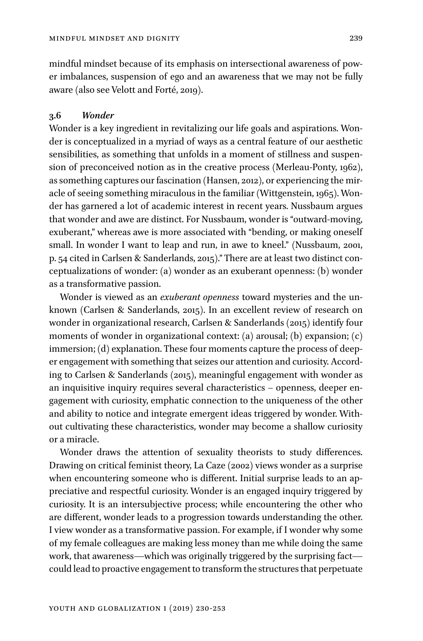mindful mindset because of its emphasis on intersectional awareness of power imbalances, suspension of ego and an awareness that we may not be fully aware (also see [Velott and Forté, 2019](#page-22-7)).

## **3.6** *Wonder*

Wonder is a key ingredient in revitalizing our life goals and aspirations. Wonder is conceptualized in a myriad of ways as a central feature of our aesthetic sensibilities, as something that unfolds in a moment of stillness and suspension of preconceived notion as in the creative process (Merleau-Ponty, 1962), as something captures our fascination ([Hansen, 2012\)](#page-20-6), or experiencing the miracle of seeing something miraculous in the familiar [\(Wittgenstein, 1965\)](#page-23-3). Wonder has garnered a lot of academic interest in recent years. Nussbaum argues that wonder and awe are distinct. For Nussbaum, wonder is "outward-moving, exuberant," whereas awe is more associated with "bending, or making oneself small. In wonder I want to leap and run, in awe to kneel." ([Nussbaum, 2001,](#page-21-7) p. 54 cited in Carlsen & Sanderlands, 2015)." There are at least two distinct conceptualizations of wonder: (a) wonder as an exuberant openness: (b) wonder as a transformative passion.

Wonder is viewed as an *exuberant openness* toward mysteries and the unknown (Carlsen & Sanderlands, 2015). In an excellent review of research on wonder in organizational research, Carlsen & Sanderlands (2015) identify four moments of wonder in organizational context: (a) arousal; (b) expansion; (c) immersion; (d) explanation. These four moments capture the process of deeper engagement with something that seizes our attention and curiosity. According to Carlsen & Sanderlands (2015), meaningful engagement with wonder as an inquisitive inquiry requires several characteristics – openness, deeper engagement with curiosity, emphatic connection to the uniqueness of the other and ability to notice and integrate emergent ideas triggered by wonder. Without cultivating these characteristics, wonder may become a shallow curiosity or a miracle.

Wonder draws the attention of sexuality theorists to study differences. Drawing on critical feminist theory, La [Caze \(2002\)](#page-20-7) views wonder as a surprise when encountering someone who is different. Initial surprise leads to an appreciative and respectful curiosity. Wonder is an engaged inquiry triggered by curiosity. It is an intersubjective process; while encountering the other who are different, wonder leads to a progression towards understanding the other. I view wonder as a transformative passion. For example, if I wonder why some of my female colleagues are making less money than me while doing the same work, that awareness—which was originally triggered by the surprising fact could lead to proactive engagement to transform the structures that perpetuate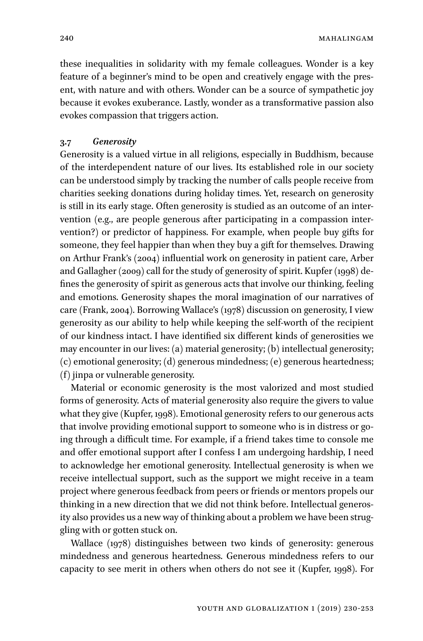these inequalities in solidarity with my female colleagues. Wonder is a key feature of a beginner's mind to be open and creatively engage with the present, with nature and with others. Wonder can be a source of sympathetic joy because it evokes exuberance. Lastly, wonder as a transformative passion also evokes compassion that triggers action.

#### **3.7** *Generosity*

Generosity is a valued virtue in all religions, especially in Buddhism, because of the interdependent nature of our lives. Its established role in our society can be understood simply by tracking the number of calls people receive from charities seeking donations during holiday times. Yet, research on generosity is still in its early stage. Often generosity is studied as an outcome of an intervention (e.g., are people generous after participating in a compassion intervention?) or predictor of happiness. For example, when people buy gifts for someone, they feel happier than when they buy a gift for themselves. Drawing on Arthur Frank's (2004) influential work on generosity in patient care, [Arber](#page-19-5) [and Gallagher \(2009\)](#page-19-5) call for the study of generosity of spirit. [Kupfer \(1998\)](#page-20-8) defines the generosity of spirit as generous acts that involve our thinking, feeling and emotions. Generosity shapes the moral imagination of our narratives of care ([Frank, 2004](#page-19-6)). Borrowing [Wallace's \(1978\)](#page-23-4) discussion on generosity, I view generosity as our ability to help while keeping the self-worth of the recipient of our kindness intact. I have identified six different kinds of generosities we may encounter in our lives: (a) material generosity; (b) intellectual generosity; (c) emotional generosity; (d) generous mindedness; (e) generous heartedness; (f) jinpa or vulnerable generosity.

Material or economic generosity is the most valorized and most studied forms of generosity. Acts of material generosity also require the givers to value what they give ([Kupfer, 1998](#page-20-8)). Emotional generosity refers to our generous acts that involve providing emotional support to someone who is in distress or going through a difficult time. For example, if a friend takes time to console me and offer emotional support after I confess I am undergoing hardship, I need to acknowledge her emotional generosity. Intellectual generosity is when we receive intellectual support, such as the support we might receive in a team project where generous feedback from peers or friends or mentors propels our thinking in a new direction that we did not think before. Intellectual generosity also provides us a new way of thinking about a problem we have been struggling with or gotten stuck on.

[Wallace \(1978\)](#page-23-4) distinguishes between two kinds of generosity: generous mindedness and generous heartedness. Generous mindedness refers to our capacity to see merit in others when others do not see it ([Kupfer, 1998\)](#page-20-8). For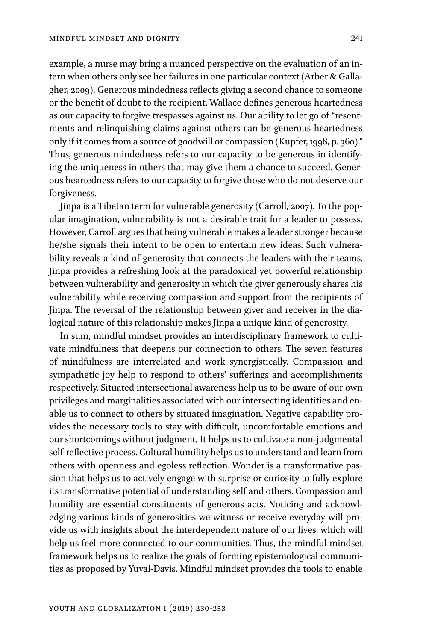example, a nurse may bring a nuanced perspective on the evaluation of an intern when others only see her failures in one particular context ([Arber & Galla](#page-19-5)[gher, 2009](#page-19-5)). Generous mindedness reflects giving a second chance to someone or the benefit of doubt to the recipient. Wallace defines generous heartedness as our capacity to forgive trespasses against us. Our ability to let go of "resentments and relinquishing claims against others can be generous heartedness only if it comes from a source of goodwill or compassion ([Kupfer, 1998](#page-20-8), p. 360)." Thus, generous mindedness refers to our capacity to be generous in identifying the uniqueness in others that may give them a chance to succeed. Generous heartedness refers to our capacity to forgive those who do not deserve our forgiveness.

Jinpa is a Tibetan term for vulnerable generosity ([Carroll, 2007\)](#page-19-7). To the popular imagination, vulnerability is not a desirable trait for a leader to possess. However, Carroll argues that being vulnerable makes a leader stronger because he/she signals their intent to be open to entertain new ideas. Such vulnerability reveals a kind of generosity that connects the leaders with their teams. Jinpa provides a refreshing look at the paradoxical yet powerful relationship between vulnerability and generosity in which the giver generously shares his vulnerability while receiving compassion and support from the recipients of Jinpa. The reversal of the relationship between giver and receiver in the dialogical nature of this relationship makes Jinpa a unique kind of generosity.

In sum, mindful mindset provides an interdisciplinary framework to cultivate mindfulness that deepens our connection to others. The seven features of mindfulness are interrelated and work synergistically. Compassion and sympathetic joy help to respond to others' sufferings and accomplishments respectively. Situated intersectional awareness help us to be aware of our own privileges and marginalities associated with our intersecting identities and enable us to connect to others by situated imagination. Negative capability provides the necessary tools to stay with difficult, uncomfortable emotions and our shortcomings without judgment. It helps us to cultivate a non-judgmental self-reflective process. Cultural humility helps us to understand and learn from others with openness and egoless reflection. Wonder is a transformative passion that helps us to actively engage with surprise or curiosity to fully explore its transformative potential of understanding self and others. Compassion and humility are essential constituents of generous acts. Noticing and acknowledging various kinds of generosities we witness or receive everyday will provide us with insights about the interdependent nature of our lives, which will help us feel more connected to our communities. Thus, the mindful mindset framework helps us to realize the goals of forming epistemological communities as proposed by Yuval-Davis. Mindful mindset provides the tools to enable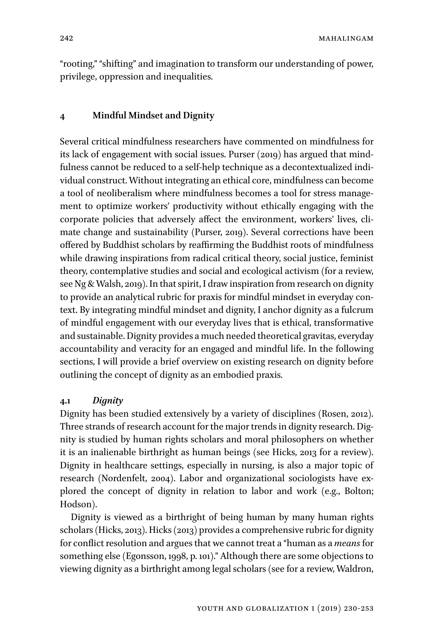"rooting," "shifting" and imagination to transform our understanding of power, privilege, oppression and inequalities.

# **4 Mindful Mindset and Dignity**

Several critical mindfulness researchers have commented on mindfulness for its lack of engagement with social issues. [Purser \(2019\)](#page-22-4) has argued that mindfulness cannot be reduced to a self-help technique as a decontextualized individual construct. Without integrating an ethical core, mindfulness can become a tool of neoliberalism where mindfulness becomes a tool for stress management to optimize workers' productivity without ethically engaging with the corporate policies that adversely affect the environment, workers' lives, climate change and sustainability ([Purser, 2019](#page-22-4)). Several corrections have been offered by Buddhist scholars by reaffirming the Buddhist roots of mindfulness while drawing inspirations from radical critical theory, social justice, feminist theory, contemplative studies and social and ecological activism (for a review, see [Ng & Walsh, 2019\)](#page-21-0). In that spirit, I draw inspiration from research on dignity to provide an analytical rubric for praxis for mindful mindset in everyday context. By integrating mindful mindset and dignity, I anchor dignity as a fulcrum of mindful engagement with our everyday lives that is ethical, transformative and sustainable. Dignity provides a much needed theoretical gravitas, everyday accountability and veracity for an engaged and mindful life. In the following sections, I will provide a brief overview on existing research on dignity before outlining the concept of dignity as an embodied praxis.

#### **4.1** *Dignity*

Dignity has been studied extensively by a variety of disciplines [\(Rosen, 2012\)](#page-22-8). Three strands of research account for the major trends in dignity research. Dignity is studied by human rights scholars and moral philosophers on whether it is an inalienable birthright as human beings (see [Hicks, 2013](#page-20-9) for a review). Dignity in healthcare settings, especially in nursing, is also a major topic of research (Nordenfelt, 2004). Labor and organizational sociologists have explored the concept of dignity in relation to labor and work (e.g., Bolton; Hodson).

Dignity is viewed as a birthright of being human by many human rights scholars [\(Hicks, 2013](#page-20-9)). [Hicks \(2013\)](#page-20-9) provides a comprehensive rubric for dignity for conflict resolution and argues that we cannot treat a "human as a *means* for something else ([Egonsson, 1998](#page-19-8), p. 101)." Although there are some objections to viewing dignity as a birthright among legal scholars (see for a review, [Waldron,](#page-23-5)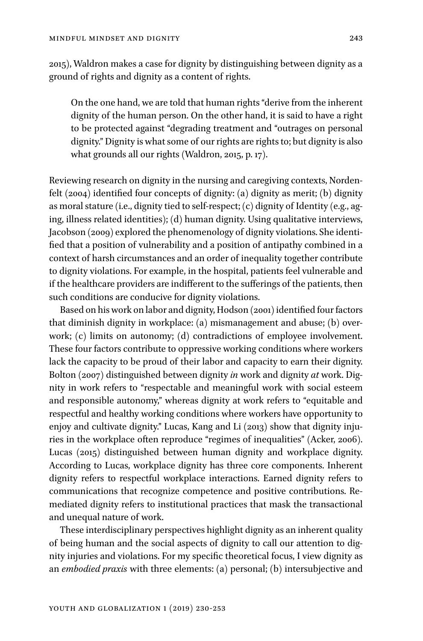[2015\)](#page-23-5), Waldron makes a case for dignity by distinguishing between dignity as a ground of rights and dignity as a content of rights.

On the one hand, we are told that human rights "derive from the inherent dignity of the human person. On the other hand, it is said to have a right to be protected against "degrading treatment and "outrages on personal dignity." Dignity is what some of our rights are rights to; but dignity is also what grounds all our rights [\(Waldron, 2015,](#page-23-5) p. 17).

Reviewing research on dignity in the nursing and caregiving contexts, [Norden](#page-21-8)[felt \(2004\)](#page-21-8) identified four concepts of dignity: (a) dignity as merit; (b) dignity as moral stature (i.e., dignity tied to self-respect; (c) dignity of Identity (e.g., aging, illness related identities); (d) human dignity. Using qualitative interviews, [Jacobson \(2009\)](#page-20-10) explored the phenomenology of dignity violations. She identified that a position of vulnerability and a position of antipathy combined in a context of harsh circumstances and an order of inequality together contribute to dignity violations. For example, in the hospital, patients feel vulnerable and if the healthcare providers are indifferent to the sufferings of the patients, then such conditions are conducive for dignity violations.

Based on his work on labor and dignity, [Hodson \(2001\)](#page-20-11) identified four factors that diminish dignity in workplace: (a) mismanagement and abuse; (b) overwork; (c) limits on autonomy; (d) contradictions of employee involvement. These four factors contribute to oppressive working conditions where workers lack the capacity to be proud of their labor and capacity to earn their dignity. [Bolton \(2007\)](#page-19-9) distinguished between dignity *in* work and dignity *at* work. Dignity in work refers to "respectable and meaningful work with social esteem and responsible autonomy," whereas dignity at work refers to "equitable and respectful and healthy working conditions where workers have opportunity to enjoy and cultivate dignity." Lucas, Kang and Li (2013) show that dignity injuries in the workplace often reproduce "regimes of inequalities" ([Acker, 2006](#page-19-10)). [Lucas \(2015\)](#page-20-12) distinguished between human dignity and workplace dignity. According to Lucas, workplace dignity has three core components. Inherent dignity refers to respectful workplace interactions. Earned dignity refers to communications that recognize competence and positive contributions. Remediated dignity refers to institutional practices that mask the transactional and unequal nature of work.

These interdisciplinary perspectives highlight dignity as an inherent quality of being human and the social aspects of dignity to call our attention to dignity injuries and violations. For my specific theoretical focus, I view dignity as an *embodied praxis* with three elements: (a) personal; (b) intersubjective and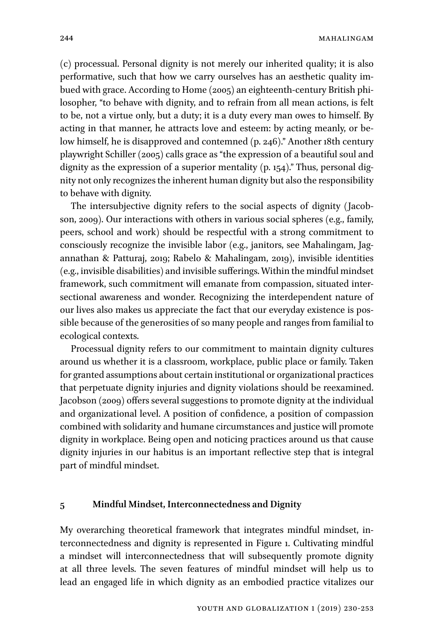(c) processual. Personal dignity is not merely our inherited quality; it is also performative, such that how we carry ourselves has an aesthetic quality imbued with grace. According to [Home \(2005\)](#page-20-2) an eighteenth-century British philosopher, "to behave with dignity, and to refrain from all mean actions, is felt to be, not a virtue only, but a duty; it is a duty every man owes to himself. By acting in that manner, he attracts love and esteem: by acting meanly, or below himself, he is disapproved and contemned (p. 246)." Another 18th century playwright [Schiller \(2005\)](#page-22-9) calls grace as "the expression of a beautiful soul and dignity as the expression of a superior mentality (p. 154)." Thus, personal dignity not only recognizes the inherent human dignity but also the responsibility to behave with dignity.

The intersubjective dignity refers to the social aspects of dignity ([Jacob](#page-20-10)[son, 2009\)](#page-20-10). Our interactions with others in various social spheres (e.g., family, peers, school and work) should be respectful with a strong commitment to consciously recognize the invisible labor (e.g., janitors, see [Mahalingam, Jag](#page-22-10)[annathan & Patturaj, 2019; Rabelo & Mahalingam, 2019](#page-22-10)), invisible identities (e.g., invisible disabilities) and invisible sufferings. Within the mindful mindset framework, such commitment will emanate from compassion, situated intersectional awareness and wonder. Recognizing the interdependent nature of our lives also makes us appreciate the fact that our everyday existence is possible because of the generosities of so many people and ranges from familial to ecological contexts.

Processual dignity refers to our commitment to maintain dignity cultures around us whether it is a classroom, workplace, public place or family. Taken for granted assumptions about certain institutional or organizational practices that perpetuate dignity injuries and dignity violations should be reexamined. [Jacobson \(2009\)](#page-20-10) offers several suggestions to promote dignity at the individual and organizational level. A position of confidence, a position of compassion combined with solidarity and humane circumstances and justice will promote dignity in workplace. Being open and noticing practices around us that cause dignity injuries in our habitus is an important reflective step that is integral part of mindful mindset.

#### **5 Mindful Mindset, Interconnectedness and Dignity**

My overarching theoretical framework that integrates mindful mindset, interconnectedness and dignity is represented in [Figure 1](#page-15-0). Cultivating mindful a mindset will interconnectedness that will subsequently promote dignity at all three levels. The seven features of mindful mindset will help us to lead an engaged life in which dignity as an embodied practice vitalizes our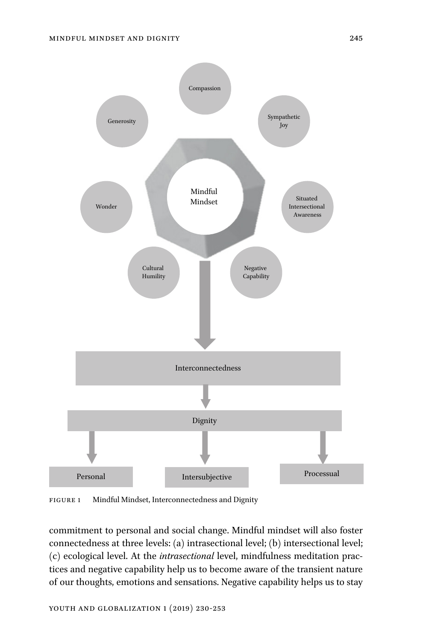<span id="page-15-0"></span>

FIGURE 1 Mindful Mindset, Interconnectedness and Dignity

commitment to personal and social change. Mindful mindset will also foster connectedness at three levels: (a) intrasectional level; (b) intersectional level; (c) ecological level. At the *intrasectional* level, mindfulness meditation practices and negative capability help us to become aware of the transient nature of our thoughts, emotions and sensations. Negative capability helps us to stay

youth and globalization 1 (2019) 230-253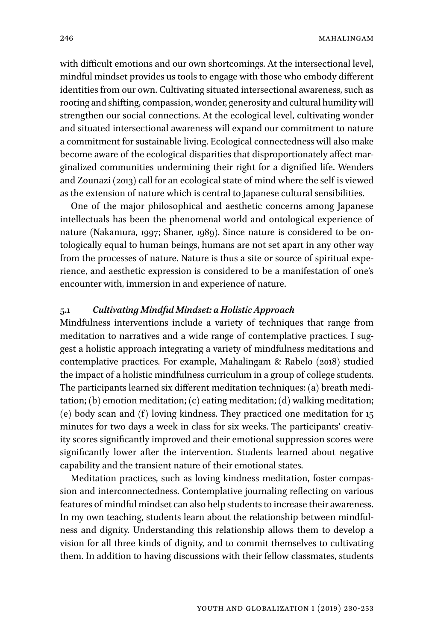with difficult emotions and our own shortcomings. At the intersectional level, mindful mindset provides us tools to engage with those who embody different identities from our own. Cultivating situated intersectional awareness, such as rooting and shifting, compassion, wonder, generosity and cultural humility will strengthen our social connections. At the ecological level, cultivating wonder and situated intersectional awareness will expand our commitment to nature a commitment for sustainable living. Ecological connectedness will also make become aware of the ecological disparities that disproportionately affect marginalized communities undermining their right for a dignified life. Wenders and Zounazi (2013) call for an ecological state of mind where the self is viewed as the extension of nature which is central to Japanese cultural sensibilities.

One of the major philosophical and aesthetic concerns among Japanese intellectuals has been the phenomenal world and ontological experience of nature [\(Nakamura, 1997;](#page-21-9) [Shaner, 1989\)](#page-22-11). Since nature is considered to be ontologically equal to human beings, humans are not set apart in any other way from the processes of nature. Nature is thus a site or source of spiritual experience, and aesthetic expression is considered to be a manifestation of one's encounter with, immersion in and experience of nature.

# **5.1** *Cultivating Mindful Mindset: a Holistic Approach*

Mindfulness interventions include a variety of techniques that range from meditation to narratives and a wide range of contemplative practices. I suggest a holistic approach integrating a variety of mindfulness meditations and contemplative practices. For example, Mahalingam & Rabelo (2018) studied the impact of a holistic mindfulness curriculum in a group of college students. The participants learned six different meditation techniques: (a) breath meditation; (b) emotion meditation; (c) eating meditation; (d) walking meditation; (e) body scan and (f) loving kindness. They practiced one meditation for 15 minutes for two days a week in class for six weeks. The participants' creativity scores significantly improved and their emotional suppression scores were significantly lower after the intervention. Students learned about negative capability and the transient nature of their emotional states.

Meditation practices, such as loving kindness meditation, foster compassion and interconnectedness. Contemplative journaling reflecting on various features of mindful mindset can also help students to increase their awareness. In my own teaching, students learn about the relationship between mindfulness and dignity. Understanding this relationship allows them to develop a vision for all three kinds of dignity, and to commit themselves to cultivating them. In addition to having discussions with their fellow classmates, students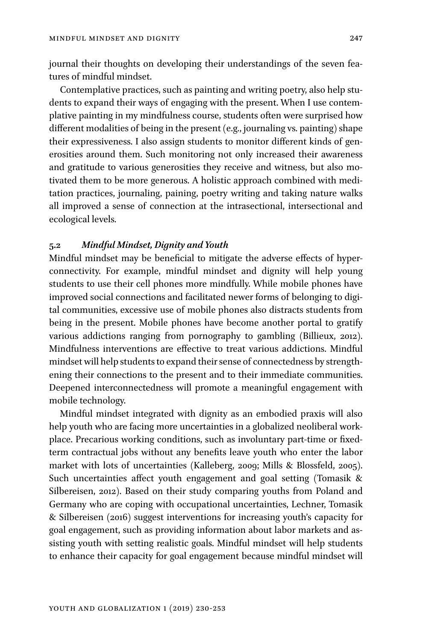journal their thoughts on developing their understandings of the seven features of mindful mindset.

Contemplative practices, such as painting and writing poetry, also help students to expand their ways of engaging with the present. When I use contemplative painting in my mindfulness course, students often were surprised how different modalities of being in the present (e.g., journaling vs. painting) shape their expressiveness. I also assign students to monitor different kinds of generosities around them. Such monitoring not only increased their awareness and gratitude to various generosities they receive and witness, but also motivated them to be more generous. A holistic approach combined with meditation practices, journaling, paining, poetry writing and taking nature walks all improved a sense of connection at the intrasectional, intersectional and ecological levels.

# **5.2** *Mindful Mindset, Dignity and Youth*

Mindful mindset may be beneficial to mitigate the adverse effects of hyperconnectivity. For example, mindful mindset and dignity will help young students to use their cell phones more mindfully. While mobile phones have improved social connections and facilitated newer forms of belonging to digital communities, excessive use of mobile phones also distracts students from being in the present. Mobile phones have become another portal to gratify various addictions ranging from pornography to gambling ([Billieux, 2012](#page-19-11)). Mindfulness interventions are effective to treat various addictions. Mindful mindset will help students to expand their sense of connectedness by strengthening their connections to the present and to their immediate communities. Deepened interconnectedness will promote a meaningful engagement with mobile technology.

Mindful mindset integrated with dignity as an embodied praxis will also help youth who are facing more uncertainties in a globalized neoliberal workplace. Precarious working conditions, such as involuntary part-time or fixedterm contractual jobs without any benefits leave youth who enter the labor market with lots of uncertainties [\(Kalleberg, 2009](#page-20-13); [Mills & Blossfeld, 2005](#page-21-10)). Such uncertainties affect youth engagement and goal setting (Tomasik & Silbereisen, 2012). Based on their study comparing youths from Poland and Germany who are coping with occupational uncertainties, Lechner, Tomasik & Silbereisen (2016) suggest interventions for increasing youth's capacity for goal engagement, such as providing information about labor markets and assisting youth with setting realistic goals. Mindful mindset will help students to enhance their capacity for goal engagement because mindful mindset will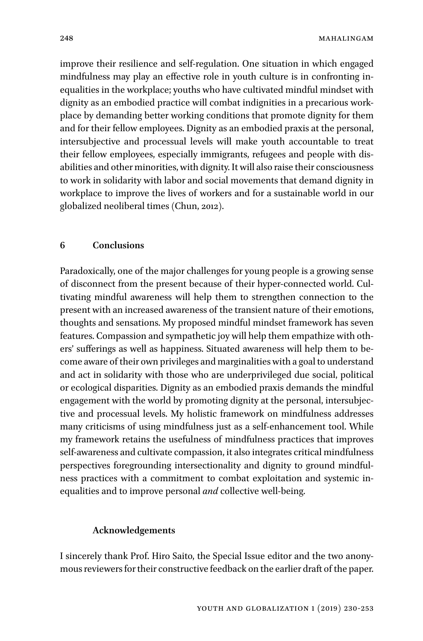improve their resilience and self-regulation. One situation in which engaged mindfulness may play an effective role in youth culture is in confronting inequalities in the workplace; youths who have cultivated mindful mindset with dignity as an embodied practice will combat indignities in a precarious workplace by demanding better working conditions that promote dignity for them and for their fellow employees. Dignity as an embodied praxis at the personal, intersubjective and processual levels will make youth accountable to treat their fellow employees, especially immigrants, refugees and people with disabilities and other minorities, with dignity. It will also raise their consciousness to work in solidarity with labor and social movements that demand dignity in workplace to improve the lives of workers and for a sustainable world in our globalized neoliberal times ([Chun, 2012](#page-19-12)).

# **6 Conclusions**

Paradoxically, one of the major challenges for young people is a growing sense of disconnect from the present because of their hyper-connected world. Cultivating mindful awareness will help them to strengthen connection to the present with an increased awareness of the transient nature of their emotions, thoughts and sensations. My proposed mindful mindset framework has seven features. Compassion and sympathetic joy will help them empathize with others' sufferings as well as happiness. Situated awareness will help them to become aware of their own privileges and marginalities with a goal to understand and act in solidarity with those who are underprivileged due social, political or ecological disparities. Dignity as an embodied praxis demands the mindful engagement with the world by promoting dignity at the personal, intersubjective and processual levels. My holistic framework on mindfulness addresses many criticisms of using mindfulness just as a self-enhancement tool. While my framework retains the usefulness of mindfulness practices that improves self-awareness and cultivate compassion, it also integrates critical mindfulness perspectives foregrounding intersectionality and dignity to ground mindfulness practices with a commitment to combat exploitation and systemic inequalities and to improve personal *and* collective well-being.

#### **Acknowledgements**

I sincerely thank Prof. Hiro Saito, the Special Issue editor and the two anonymous reviewers for their constructive feedback on the earlier draft of the paper.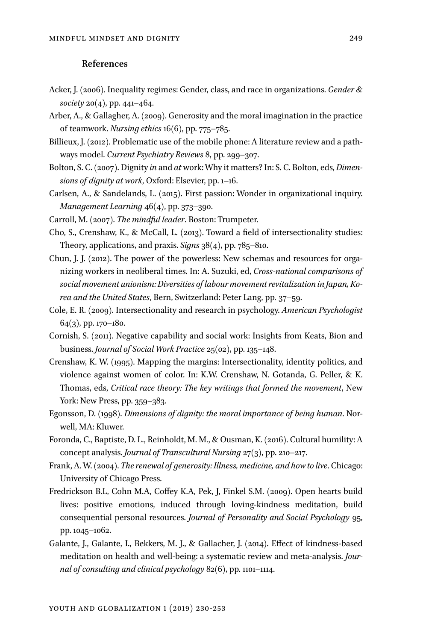# **References**

- <span id="page-19-10"></span>Acker, J. (2006). Inequality regimes: Gender, class, and race in organizations. *Gender & society* 20(4), pp. 441–464.
- <span id="page-19-5"></span>Arber, A., & Gallagher, A. (2009). Generosity and the moral imagination in the practice of teamwork. *Nursing ethics* 16(6), pp. 775–785.
- <span id="page-19-11"></span>Billieux, J. (2012). Problematic use of the mobile phone: A literature review and a pathways model. *Current Psychiatry Reviews* 8, pp. 299–307.
- <span id="page-19-9"></span>Bolton, S. C. (2007). Dignity *in* and *at* work: Why it matters? In: S. C. Bolton, eds, *Dimensions of dignity at work*, Oxford: Elsevier, pp. 1–16.
- Carlsen, A., & Sandelands, L. (2015). First passion: Wonder in organizational inquiry. *Management Learning* 46(4), pp. 373–390.
- <span id="page-19-7"></span>Carroll, M. (2007). *The mindful leader*. Boston: Trumpeter.
- Cho, S., Crenshaw, K., & McCall, L. (2013). Toward a field of intersectionality studies: Theory, applications, and praxis. *Signs* 38(4), pp. 785–810.
- <span id="page-19-12"></span>Chun, J. J. (2012). The power of the powerless: New schemas and resources for organizing workers in neoliberal times. In: A. Suzuki, ed, *Cross-national comparisons of social movement unionism: Diversities of labour movement revitalization in Japan, Korea and the United States*, Bern, Switzerland: Peter Lang, pp*.* 37–59.
- <span id="page-19-3"></span>Cole, E. R. (2009). Intersectionality and research in psychology. *American Psychologist* 64(3), pp. 170–180.
- <span id="page-19-4"></span>Cornish, S. (2011). Negative capability and social work: Insights from Keats, Bion and business. *Journal of Social Work Practice* 25(02), pp. 135–148.
- <span id="page-19-2"></span>Crenshaw, K. W. (1995). Mapping the margins: Intersectionality, identity politics, and violence against women of color. In: K.W. Crenshaw, N. Gotanda, G. Peller, & K. Thomas, eds, *Critical race theory: The key writings that formed the movement*, New York: New Press, pp. 359–383.
- <span id="page-19-8"></span>Egonsson, D. (1998). *Dimensions of dignity: the moral importance of being human*. Norwell, MA: Kluwer.
- Foronda, C., Baptiste, D. L., Reinholdt, M. M., & Ousman, K. (2016). Cultural humility: A concept analysis. *Journal of Transcultural Nursing* 27(3), pp. 210–217.
- <span id="page-19-6"></span>Frank, A. W. (2004). *The renewal of generosity: Illness, medicine, and how to live*. Chicago: University of Chicago Press.
- <span id="page-19-1"></span>Fredrickson B.L, Cohn M.A, Coffey K.A, Pek, J, Finkel S.M. (2009). Open hearts build lives: positive emotions, induced through loving-kindness meditation, build consequential personal resources. *Journal of Personality and Social Psychology* 95, pp. 1045–1062.
- <span id="page-19-0"></span>Galante, J., Galante, I., Bekkers, M. J., & Gallacher, J. (2014). Effect of kindness-based meditation on health and well-being: a systematic review and meta-analysis. *Journal of consulting and clinical psychology* 82(6), pp. 1101–1114.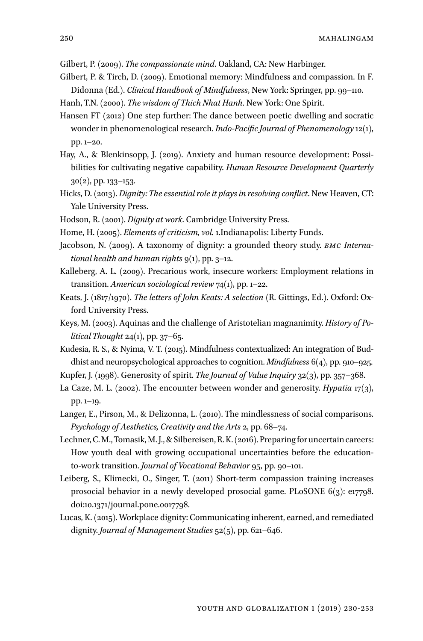Gilbert, P. (2009). *The compassionate mind*. Oakland, CA: New Harbinger.

- <span id="page-20-3"></span>Gilbert, P. & Tirch, D. (2009). Emotional memory: Mindfulness and compassion. In F. Didonna (Ed.). *Clinical Handbook of Mindfulness*, New York: Springer, pp. 99–110.
- <span id="page-20-1"></span>Hanh, T.N. (2000). *The wisdom of Thich Nhat Hanh*. New York: One Spirit.
- <span id="page-20-6"></span>Hansen FT (2012) One step further: The dance between poetic dwelling and socratic wonder in phenomenological research. *Indo-Pacific Journal of Phenomenology* 12(1), pp. 1–20.
- <span id="page-20-4"></span>Hay, A., & Blenkinsopp, J. (2019). Anxiety and human resource development: Possibilities for cultivating negative capability. *Human Resource Development Quarterly* 30(2), pp. 133–153.
- <span id="page-20-9"></span>Hicks, D. (2013). *Dignity: The essential role it plays in resolving conflict*. New Heaven, CT: Yale University Press.
- <span id="page-20-11"></span>Hodson, R. (2001). *Dignity at work*. Cambridge University Press.
- <span id="page-20-2"></span>Home, H. (2005). *Elements of criticism, vol.* 1.Indianapolis: Liberty Funds.
- <span id="page-20-10"></span>Jacobson, N. (2009). A taxonomy of dignity: a grounded theory study. *bmc International health and human rights* 9(1), pp. 3–12.
- <span id="page-20-13"></span>Kalleberg, A. L. (2009). Precarious work, insecure workers: Employment relations in transition. *American sociological review* 74(1), pp. 1–22.
- Keats, J. (1817/1970). *The letters of John Keats: A selection* (R. Gittings, Ed.). Oxford: Oxford University Press.
- <span id="page-20-5"></span>Keys, M. (2003). Aquinas and the challenge of Aristotelian magnanimity. *History of Political Thought* 24(1), pp. 37–65.
- <span id="page-20-0"></span>Kudesia, R. S., & Nyima, V. T. (2015). Mindfulness contextualized: An integration of Buddhist and neuropsychological approaches to cognition. *Mindfulness* 6(4), pp. 910–925.
- <span id="page-20-8"></span>Kupfer, J. (1998). Generosity of spirit. *The Journal of Value Inquiry* 32(3), pp. 357–368.
- <span id="page-20-7"></span>La Caze, M. L. (2002). The encounter between wonder and generosity. *Hypatia* 17(3), pp. 1–19.
- Langer, E., Pirson, M., & Delizonna, L. (2010). The mindlessness of social comparisons. *Psychology of Aesthetics, Creativity and the Arts* 2, pp. 68–74.
- Lechner, C. M., Tomasik, M. J., & Silbereisen, R. K. (2016). Preparing for uncertain careers: How youth deal with growing occupational uncertainties before the educationto-work transition. *Journal of Vocational Behavior* 95, pp. 90–101.
- Leiberg, S., Klimecki, O., Singer, T. (2011) Short-term compassion training increases prosocial behavior in a newly developed prosocial game. PLoSONE 6(3): e17798. doi:10.1371/journal.pone.0017798.
- <span id="page-20-12"></span>Lucas, K. (2015). Workplace dignity: Communicating inherent, earned, and remediated dignity. *Journal of Management Studies* 52(5), pp. 621–646.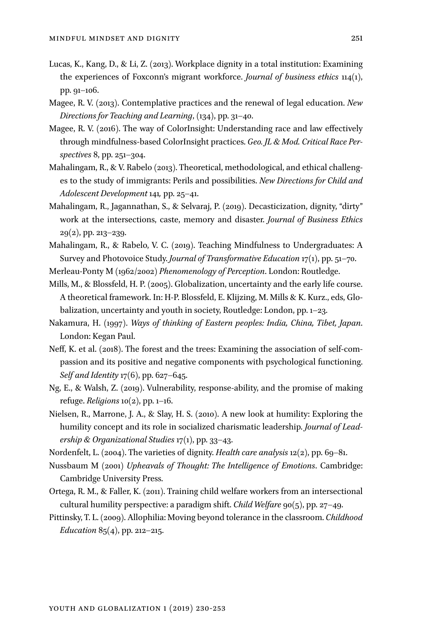- Lucas, K., Kang, D., & Li, Z. (2013). Workplace dignity in a total institution: Examining the experiences of Foxconn's migrant workforce. *Journal of business ethics* 114(1), pp. 91–106.
- <span id="page-21-5"></span>Magee, R. V. (2013). Contemplative practices and the renewal of legal education. *New Directions for Teaching and Learning*, (134), pp. 31–40.
- <span id="page-21-4"></span>Magee, R. V. (2016). The way of ColorInsight: Understanding race and law effectively through mindfulness-based ColorInsight practices. *Geo. JL & Mod. Critical Race Perspectives* 8, pp. 251–304.
- <span id="page-21-1"></span>Mahalingam, R., & V. Rabelo (2013). Theoretical, methodological, and ethical challenges to the study of immigrants: Perils and possibilities. *New Directions for Child and Adolescent Development* 141*,* pp. 25–41.
- Mahalingam, R., Jagannathan, S., & Selvaraj, P. (2019). Decasticization, dignity, "dirty" work at the intersections, caste, memory and disaster. *Journal of Business Ethics* 29(2), pp. 213–239.
- Mahalingam, R., & Rabelo, V. C. (2019). Teaching Mindfulness to Undergraduates: A Survey and Photovoice Study. *Journal of Transformative Education* 17(1), pp. 51–70.
- Merleau-Ponty M (1962/2002) *Phenomenology of Perception*. London: Routledge.
- <span id="page-21-10"></span>Mills, M., & Blossfeld, H. P. (2005). Globalization, uncertainty and the early life course. A theoretical framework. In: H-P. Blossfeld, E. Klijzing, M. Mills & K. Kurz., eds, Globalization, uncertainty and youth in society, Routledge: London, pp. 1–23.
- <span id="page-21-9"></span>Nakamura, H. (1997). *Ways of thinking of Eastern peoples: India, China, Tibet, Japan*. London: Kegan Paul.
- <span id="page-21-2"></span>Neff, K. et al. (2018). The forest and the trees: Examining the association of self-compassion and its positive and negative components with psychological functioning. *Self and Identity* 17(6), pp. 627–645.
- <span id="page-21-0"></span>Ng, E., & Walsh, Z. (2019). Vulnerability, response-ability, and the promise of making refuge. *Religions* 10(2), pp. 1–16.
- Nielsen, R., Marrone, J. A., & Slay, H. S. (2010). A new look at humility: Exploring the humility concept and its role in socialized charismatic leadership. *Journal of Leadership & Organizational Studies* 17(1), pp. 33–43.
- <span id="page-21-8"></span>Nordenfelt, L. (2004). The varieties of dignity. *Health care analysis* 12(2), pp. 69–81.
- <span id="page-21-7"></span>Nussbaum M (2001) *Upheavals of Thought: The Intelligence of Emotions*. Cambridge: Cambridge University Press.
- <span id="page-21-6"></span>Ortega, R. M., & Faller, K. (2011). Training child welfare workers from an intersectional cultural humility perspective: a paradigm shift. *Child Welfare* 90(5), pp. 27–49.
- <span id="page-21-3"></span>Pittinsky, T. L. (2009). Allophilia: Moving beyond tolerance in the classroom. *Childhood Education* 85(4), pp. 212–215.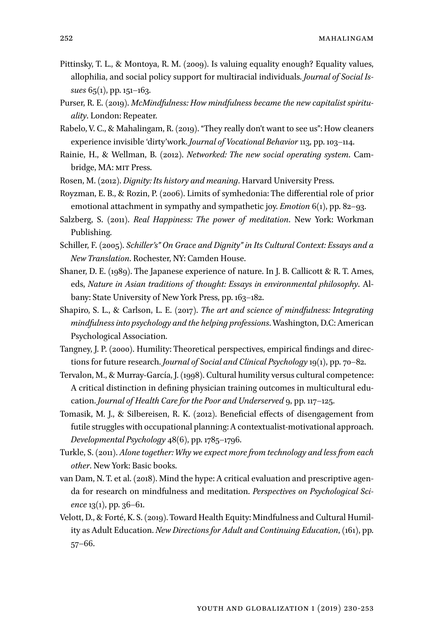- Pittinsky, T. L., & Montoya, R. M. (2009). Is valuing equality enough? Equality values, allophilia, and social policy support for multiracial individuals. *Journal of Social Issues* 65(1), pp. 151–163.
- <span id="page-22-4"></span>Purser, R. E. (2019). *McMindfulness: How mindfulness became the new capitalist spirituality*. London: Repeater.
- <span id="page-22-10"></span>Rabelo, V. C., & Mahalingam, R. (2019). "They really don't want to see us": How cleaners experience invisible 'dirty'work. *Journal of Vocational Behavior* 113, pp. 103–114.
- <span id="page-22-0"></span>Rainie, H., & Wellman, B. (2012). *Networked: The new social operating system*. Cambridge, MA: MIT Press.
- <span id="page-22-8"></span>Rosen, M. (2012). *Dignity: Its history and meaning*. Harvard University Press.
- Royzman, E. B., & Rozin, P. (2006). Limits of symhedonia: The differential role of prior emotional attachment in sympathy and sympathetic joy. *Emotion* 6(1), pp. 82–93.
- <span id="page-22-5"></span>Salzberg, S. (2011). *Real Happiness: The power of meditation*. New York: Workman Publishing.
- <span id="page-22-9"></span>Schiller, F. (2005). *Schiller's" On Grace and Dignity" in Its Cultural Context: Essays and a New Translation*. Rochester, NY: Camden House.
- <span id="page-22-11"></span>Shaner, D. E. (1989). The Japanese experience of nature. In J. B. Callicott & R. T. Ames, eds, *Nature in Asian traditions of thought: Essays in environmental philosophy*. Albany: State University of New York Press, pp. 163-182.
- <span id="page-22-2"></span>Shapiro, S. L., & Carlson, L. E. (2017). *The art and science of mindfulness: Integrating mindfulness into psychology and the helping professions*. Washington, D.C: American Psychological Association.
- <span id="page-22-6"></span>Tangney, J. P. (2000). Humility: Theoretical perspectives, empirical findings and directions for future research. *Journal of Social and Clinical Psychology* 19(1), pp. 70–82.
- Tervalon, M., & Murray-García, J. (1998). Cultural humility versus cultural competence: A critical distinction in defining physician training outcomes in multicultural education. *Journal of Health Care for the Poor and Underserved* 9, pp. 117–125.
- Tomasik, M. J., & Silbereisen, R. K. (2012). Beneficial effects of disengagement from futile struggles with occupational planning: A contextualist-motivational approach. *Developmental Psychology* 48(6), pp. 1785–1796.
- <span id="page-22-1"></span>Turkle, S. (2011). *Alone together: Why we expect more from technology and less from each other*. New York: Basic books.
- <span id="page-22-3"></span>van Dam, N. T. et al. (2018). Mind the hype: A critical evaluation and prescriptive agenda for research on mindfulness and meditation. *Perspectives on Psychological Science* 13(1), pp. 36–61.
- <span id="page-22-7"></span>Velott, D., & Forté, K. S. (2019). Toward Health Equity: Mindfulness and Cultural Humility as Adult Education. *New Directions for Adult and Continuing Education*, (161), pp. 57–66.